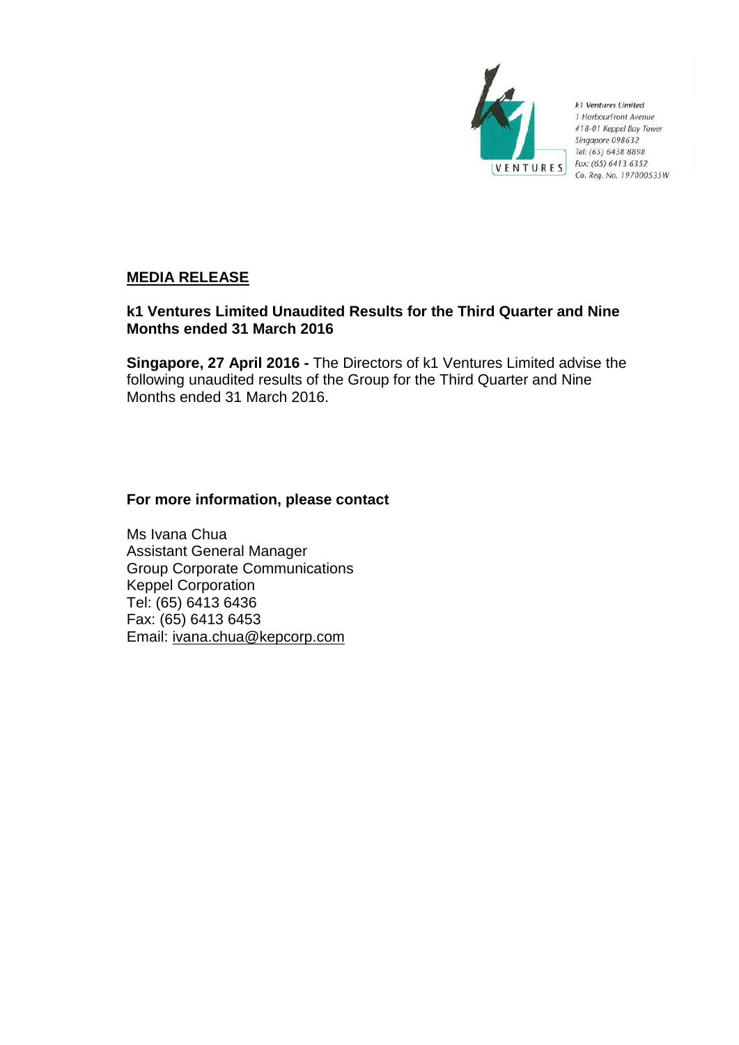

k1 Ventures Limited 1 HarbourFront Avenue #18-01 Keppel Bay Tower Singapore 098632 Tel: (65) 6438 8898 Fax: (65) 6413 6352 Co. Reg. No. 197000535W

# **MEDIA RELEASE**

# **k1 Ventures Limited Unaudited Results for the Third Quarter and Nine Months ended 31 March 2016**

**Singapore, 27 April 2016 -** The Directors of k1 Ventures Limited advise the following unaudited results of the Group for the Third Quarter and Nine Months ended 31 March 2016.

# **For more information, please contact**

Ms Ivana Chua Assistant General Manager Group Corporate Communications Keppel Corporation Tel: (65) 6413 6436 Fax: (65) 6413 6453 Email: ivana.chua@kepcorp.com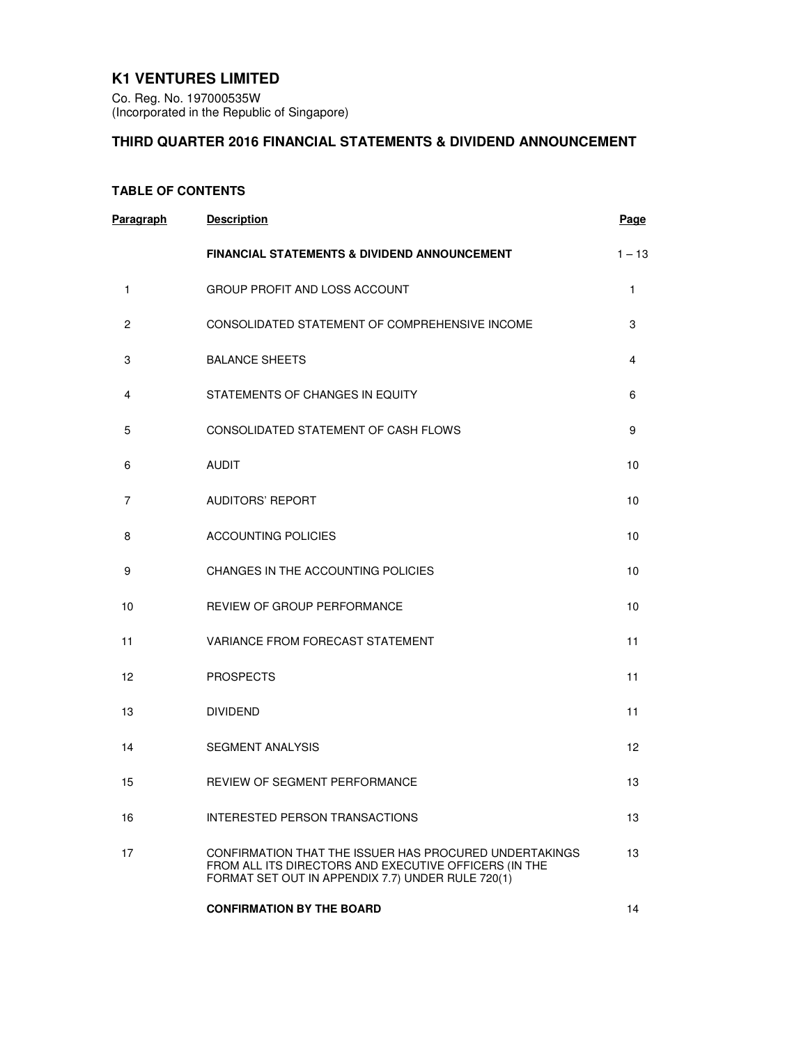# **K1 VENTURES LIMITED**

Co. Reg. No. 197000535W (Incorporated in the Republic of Singapore)

# **THIRD QUARTER 2016 FINANCIAL STATEMENTS & DIVIDEND ANNOUNCEMENT**

# **TABLE OF CONTENTS**

| <b>Paragraph</b> | <b>Description</b>                                                                                                                                                   | <b>Page</b>       |
|------------------|----------------------------------------------------------------------------------------------------------------------------------------------------------------------|-------------------|
|                  | <b>FINANCIAL STATEMENTS &amp; DIVIDEND ANNOUNCEMENT</b>                                                                                                              | $1 - 13$          |
| 1                | GROUP PROFIT AND LOSS ACCOUNT                                                                                                                                        | 1                 |
| $\overline{c}$   | CONSOLIDATED STATEMENT OF COMPREHENSIVE INCOME                                                                                                                       | 3                 |
| 3                | <b>BALANCE SHEETS</b>                                                                                                                                                | 4                 |
| 4                | STATEMENTS OF CHANGES IN EQUITY                                                                                                                                      | 6                 |
| 5                | CONSOLIDATED STATEMENT OF CASH FLOWS                                                                                                                                 | 9                 |
| 6                | <b>AUDIT</b>                                                                                                                                                         | 10                |
| 7                | <b>AUDITORS' REPORT</b>                                                                                                                                              | 10                |
| 8                | <b>ACCOUNTING POLICIES</b>                                                                                                                                           | 10                |
| 9                | CHANGES IN THE ACCOUNTING POLICIES                                                                                                                                   | 10                |
| 10               | <b>REVIEW OF GROUP PERFORMANCE</b>                                                                                                                                   | 10                |
| 11               | VARIANCE FROM FORECAST STATEMENT                                                                                                                                     | 11                |
| 12               | <b>PROSPECTS</b>                                                                                                                                                     | 11                |
| 13               | <b>DIVIDEND</b>                                                                                                                                                      | 11                |
| 14               | <b>SEGMENT ANALYSIS</b>                                                                                                                                              | $12 \overline{ }$ |
| 15               | <b>REVIEW OF SEGMENT PERFORMANCE</b>                                                                                                                                 | 13                |
| 16               | INTERESTED PERSON TRANSACTIONS                                                                                                                                       | 13                |
| 17               | CONFIRMATION THAT THE ISSUER HAS PROCURED UNDERTAKINGS<br>FROM ALL ITS DIRECTORS AND EXECUTIVE OFFICERS (IN THE<br>FORMAT SET OUT IN APPENDIX 7.7) UNDER RULE 720(1) | 13                |
|                  | <b>CONFIRMATION BY THE BOARD</b>                                                                                                                                     | 14                |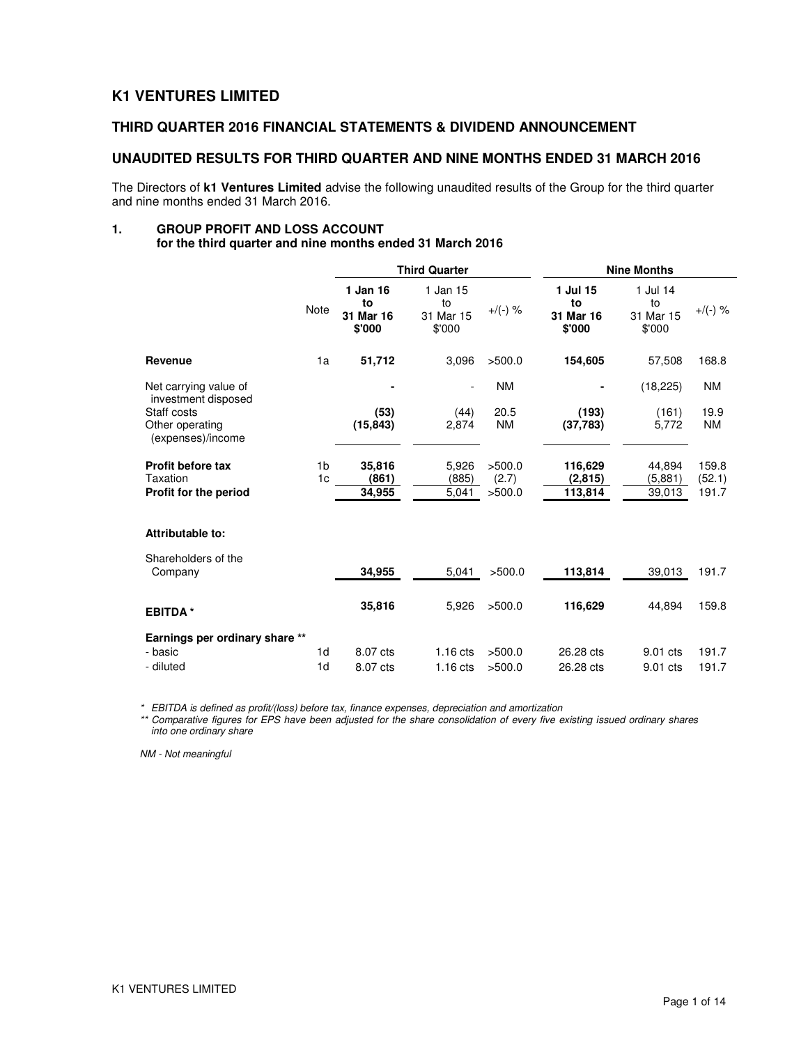# **K1 VENTURES LIMITED**

## **THIRD QUARTER 2016 FINANCIAL STATEMENTS & DIVIDEND ANNOUNCEMENT**

### **UNAUDITED RESULTS FOR THIRD QUARTER AND NINE MONTHS ENDED 31 MARCH 2016**

The Directors of **k1 Ventures Limited** advise the following unaudited results of the Group for the third quarter and nine months ended 31 March 2016.

# **1. GROUP PROFIT AND LOSS ACCOUNT**

**for the third quarter and nine months ended 31 March 2016** 

|                                                                            |                | <b>Third Quarter</b>                  |                                       |                   | <b>Nine Months</b>                    |                                       |                   |
|----------------------------------------------------------------------------|----------------|---------------------------------------|---------------------------------------|-------------------|---------------------------------------|---------------------------------------|-------------------|
|                                                                            | <b>Note</b>    | 1 Jan 16<br>to<br>31 Mar 16<br>\$'000 | 1 Jan 15<br>to<br>31 Mar 15<br>\$'000 | $+/(-)$ %         | 1 Jul 15<br>to<br>31 Mar 16<br>\$'000 | 1 Jul 14<br>to<br>31 Mar 15<br>\$'000 | $+$ /(-) %        |
| Revenue                                                                    | 1a             | 51,712                                | 3,096                                 | >500.0            | 154,605                               | 57,508                                | 168.8             |
| Net carrying value of                                                      |                |                                       |                                       | <b>NM</b>         |                                       | (18, 225)                             | <b>NM</b>         |
| investment disposed<br>Staff costs<br>Other operating<br>(expenses)/income |                | (53)<br>(15, 843)                     | (44)<br>2,874                         | 20.5<br><b>NM</b> | (193)<br>(37,783)                     | (161)<br>5,772                        | 19.9<br><b>NM</b> |
| <b>Profit before tax</b>                                                   | 1 <sub>b</sub> | 35,816                                | 5,926                                 | >500.0            | 116,629                               | 44,894                                | 159.8             |
| Taxation<br>Profit for the period                                          | 1 <sub>c</sub> | (861)<br>34,955                       | (885)<br>5,041                        | (2.7)<br>>500.0   | (2,815)<br>113,814                    | (5,881)<br>39,013                     | (52.1)<br>191.7   |
| Attributable to:                                                           |                |                                       |                                       |                   |                                       |                                       |                   |
| Shareholders of the<br>Company                                             |                | 34.955                                | 5,041                                 | >500.0            | 113,814                               | 39,013                                | 191.7             |
| <b>EBITDA*</b>                                                             |                | 35,816                                | 5,926                                 | >500.0            | 116,629                               | 44,894                                | 159.8             |
| Earnings per ordinary share **<br>- basic                                  | 1d             | 8.07 cts                              | $1.16$ cts                            | >500.0            | 26.28 cts                             | 9.01 cts                              | 191.7             |

\* EBITDA is defined as profit/(loss) before tax, finance expenses, depreciation and amortization

\*\* Comparative figures for EPS have been adjusted for the share consolidation of every five existing issued ordinary shares into one ordinary share

- diluted 1d 8.07 cts 1.16 cts >500.0 26.28 cts 9.01 cts 191.7

NM - Not meaningful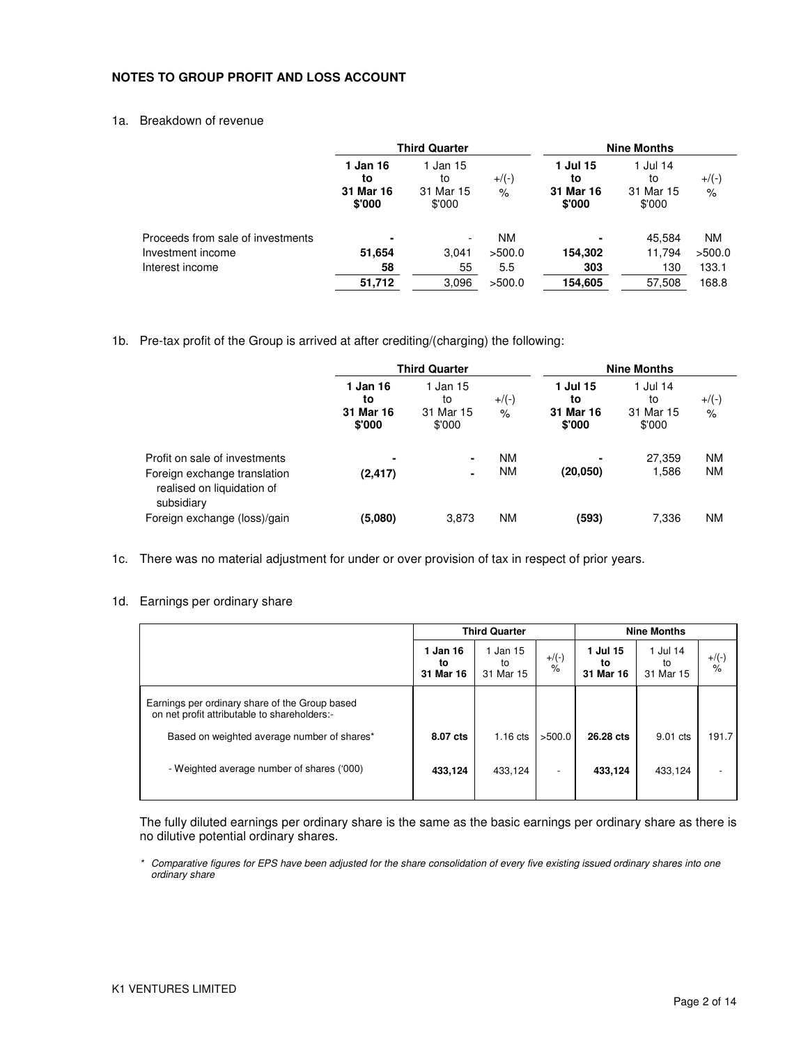### **NOTES TO GROUP PROFIT AND LOSS ACCOUNT**

### 1a. Breakdown of revenue

| <b>Third Quarter</b>                  |                                       |                                |                                       |                                       |                           |
|---------------------------------------|---------------------------------------|--------------------------------|---------------------------------------|---------------------------------------|---------------------------|
| 1 Jan 16<br>to<br>31 Mar 16<br>\$'000 | 1 Jan 15<br>to<br>31 Mar 15<br>\$'000 | $+$ /(-)<br>$\frac{1}{\alpha}$ | 1 Jul 15<br>to<br>31 Mar 16<br>\$'000 | 1 Jul 14<br>to<br>31 Mar 15<br>\$'000 | $+$ /(-)<br>$\frac{1}{6}$ |
| ۰                                     |                                       | ΝM                             |                                       | 45.584                                | <b>NM</b>                 |
| 51,654                                | 3,041                                 | >500.0                         | 154,302                               | 11,794                                | >500.0                    |
| 58                                    | 55                                    | 5.5                            | 303                                   | 130                                   | 133.1                     |
| 51,712                                | 3,096                                 | >500.0                         | 154,605                               | 57,508                                | 168.8                     |
|                                       |                                       |                                |                                       |                                       | <b>Nine Months</b>        |

1b. Pre-tax profit of the Group is arrived at after crediting/(charging) the following:

|                                                                                                           | <b>Third Quarter</b>                  |                                       |                        |                                       | <b>Nine Months</b>                    |                        |
|-----------------------------------------------------------------------------------------------------------|---------------------------------------|---------------------------------------|------------------------|---------------------------------------|---------------------------------------|------------------------|
|                                                                                                           | 1 Jan 16<br>to<br>31 Mar 16<br>\$'000 | 1 Jan 15<br>to<br>31 Mar 15<br>\$'000 | $+$ /(-)<br>$\%$       | 1 Jul 15<br>to<br>31 Mar 16<br>\$'000 | 1 Jul 14<br>to<br>31 Mar 15<br>\$'000 | $+$ /(-)<br>$\%$       |
| Profit on sale of investments<br>Foreign exchange translation<br>realised on liquidation of<br>subsidiary | ۰<br>(2, 417)                         | ۰<br>۰                                | <b>NM</b><br><b>NM</b> | (20,050)                              | 27,359<br>1,586                       | <b>NM</b><br><b>NM</b> |
| Foreign exchange (loss)/gain                                                                              | (5,080)                               | 3,873                                 | <b>NM</b>              | (593)                                 | 7,336                                 | <b>NM</b>              |

1c. There was no material adjustment for under or over provision of tax in respect of prior years.

### 1d. Earnings per ordinary share

|                                                                                                | <b>Third Quarter</b>        |                             |                          | <b>Nine Months</b>          |                             |                  |
|------------------------------------------------------------------------------------------------|-----------------------------|-----------------------------|--------------------------|-----------------------------|-----------------------------|------------------|
|                                                                                                | 1 Jan 16<br>to<br>31 Mar 16 | 1 Jan 15<br>to<br>31 Mar 15 | $+$ /(-)<br>$\%$         | 1 Jul 15<br>to<br>31 Mar 16 | 1 Jul 14<br>to<br>31 Mar 15 | $+$ /(-)<br>$\%$ |
| Earnings per ordinary share of the Group based<br>on net profit attributable to shareholders:- |                             |                             |                          |                             |                             |                  |
| Based on weighted average number of shares*                                                    | 8.07 cts                    | $1.16$ cts                  | >500.0                   | 26.28 cts                   | 9.01 cts                    | 191.7            |
| - Weighted average number of shares ('000)                                                     | 433,124                     | 433,124                     | $\overline{\phantom{a}}$ | 433.124                     | 433,124                     |                  |

The fully diluted earnings per ordinary share is the same as the basic earnings per ordinary share as there is no dilutive potential ordinary shares.

\* Comparative figures for EPS have been adjusted for the share consolidation of every five existing issued ordinary shares into one ordinary share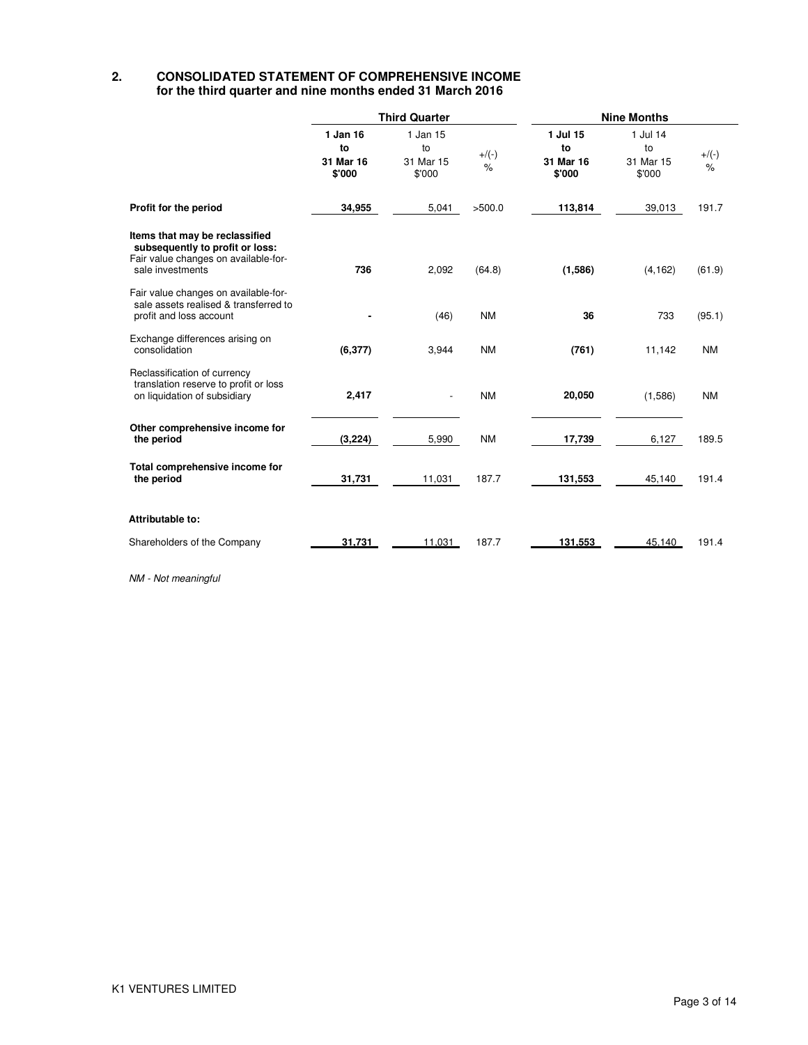### **2. CONSOLIDATED STATEMENT OF COMPREHENSIVE INCOME for the third quarter and nine months ended 31 March 2016**

|                                                                                                                               | <b>Third Quarter</b>                  |                                       |              | <b>Nine Months</b>                    |                                       |                 |  |
|-------------------------------------------------------------------------------------------------------------------------------|---------------------------------------|---------------------------------------|--------------|---------------------------------------|---------------------------------------|-----------------|--|
|                                                                                                                               | 1 Jan 16<br>to<br>31 Mar 16<br>\$'000 | 1 Jan 15<br>to<br>31 Mar 15<br>\$'000 | $+/(-)$<br>% | 1 Jul 15<br>to<br>31 Mar 16<br>\$'000 | 1 Jul 14<br>to<br>31 Mar 15<br>\$'000 | $+/(-)$<br>$\%$ |  |
| Profit for the period                                                                                                         | 34,955                                | 5,041                                 | >500.0       | 113,814                               | 39,013                                | 191.7           |  |
| Items that may be reclassified<br>subsequently to profit or loss:<br>Fair value changes on available-for-<br>sale investments | 736                                   | 2,092                                 | (64.8)       | (1,586)                               | (4, 162)                              | (61.9)          |  |
| Fair value changes on available-for-<br>sale assets realised & transferred to<br>profit and loss account                      |                                       | (46)                                  | <b>NM</b>    | 36                                    | 733                                   | (95.1)          |  |
| Exchange differences arising on<br>consolidation                                                                              | (6, 377)                              | 3,944                                 | <b>NM</b>    | (761)                                 | 11,142                                | <b>NM</b>       |  |
| Reclassification of currency<br>translation reserve to profit or loss<br>on liquidation of subsidiary                         | 2,417                                 | $\overline{\phantom{a}}$              | <b>NM</b>    | 20,050                                | (1,586)                               | <b>NM</b>       |  |
| Other comprehensive income for<br>the period                                                                                  | (3,224)                               | 5,990                                 | <b>NM</b>    | 17,739                                | 6,127                                 | 189.5           |  |
| Total comprehensive income for<br>the period                                                                                  | 31,731                                | 11,031                                | 187.7        | 131,553                               | 45,140                                | 191.4           |  |
| Attributable to:                                                                                                              |                                       |                                       |              |                                       |                                       |                 |  |
| Shareholders of the Company                                                                                                   | 31,731                                | 11,031                                | 187.7        | 131,553                               | 45,140                                | 191.4           |  |

NM - Not meaningful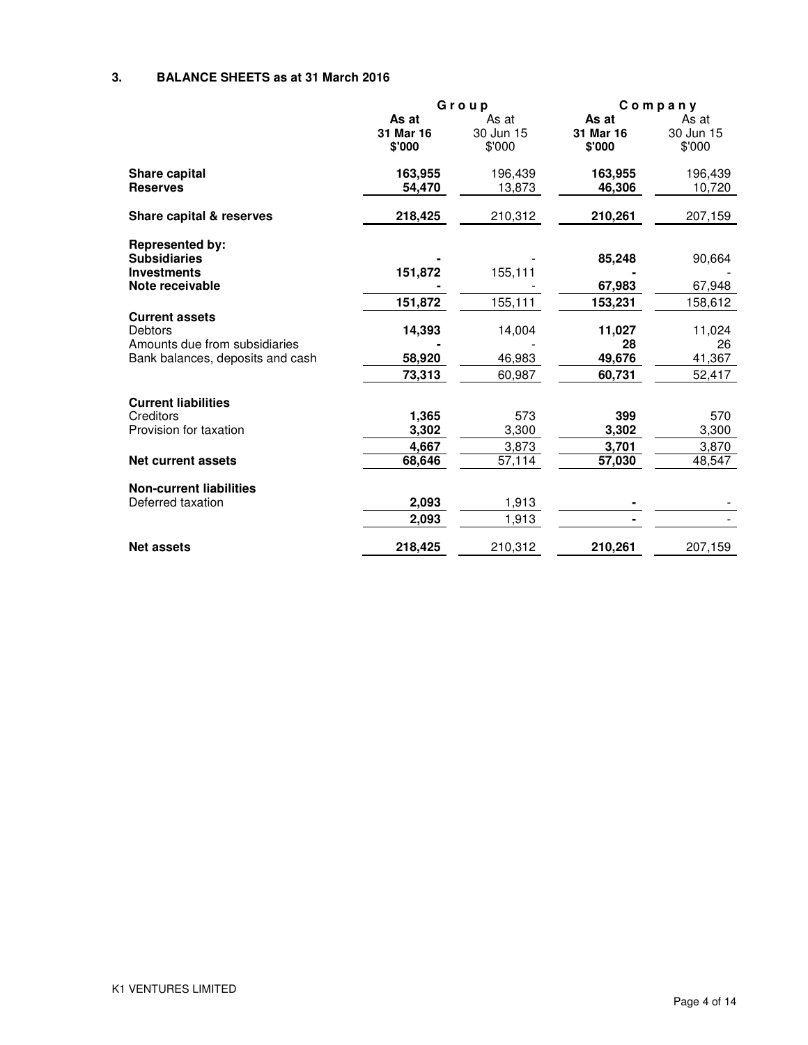## **3. BALANCE SHEETS as at 31 March 2016**

|                                                                                        |                              | Group                        | $C$ o m $p$ a n $y$          |                              |  |
|----------------------------------------------------------------------------------------|------------------------------|------------------------------|------------------------------|------------------------------|--|
|                                                                                        | As at<br>31 Mar 16<br>\$'000 | As at<br>30 Jun 15<br>\$'000 | As at<br>31 Mar 16<br>\$'000 | As at<br>30 Jun 15<br>\$'000 |  |
| <b>Share capital</b><br><b>Reserves</b>                                                | 163,955<br>54,470            | 196,439<br>13,873            | 163,955<br>46,306            | 196,439<br>10,720            |  |
| Share capital & reserves                                                               | 218,425                      | 210,312                      | 210,261                      | 207,159                      |  |
| <b>Represented by:</b><br><b>Subsidiaries</b><br><b>Investments</b><br>Note receivable | 151,872                      | 155,111                      | 85,248<br>67,983             | 90,664<br>67,948             |  |
|                                                                                        | 151,872                      | 155,111                      | 153,231                      | 158,612                      |  |
| <b>Current assets</b><br>Debtors<br>Amounts due from subsidiaries                      | 14,393                       | 14,004                       | 11,027<br>28                 | 11,024<br>26                 |  |
| Bank balances, deposits and cash                                                       | 58,920                       | 46,983                       | 49,676                       | 41,367                       |  |
|                                                                                        | 73,313                       | 60,987                       | 60,731                       | 52,417                       |  |
| <b>Current liabilities</b>                                                             |                              |                              |                              |                              |  |
| Creditors                                                                              | 1,365                        | 573                          | 399                          | 570                          |  |
| Provision for taxation                                                                 | 3,302                        | 3,300                        | 3,302                        | 3,300                        |  |
|                                                                                        | 4,667                        | 3,873                        | 3,701                        | 3,870                        |  |
| <b>Net current assets</b>                                                              | 68,646                       | 57,114                       | 57,030                       | 48,547                       |  |
| <b>Non-current liabilities</b>                                                         |                              |                              |                              |                              |  |
| Deferred taxation                                                                      | 2,093                        | 1,913                        |                              |                              |  |
|                                                                                        | 2,093                        | 1,913                        |                              |                              |  |
| <b>Net assets</b>                                                                      | 218,425                      | 210,312                      | 210,261                      | 207,159                      |  |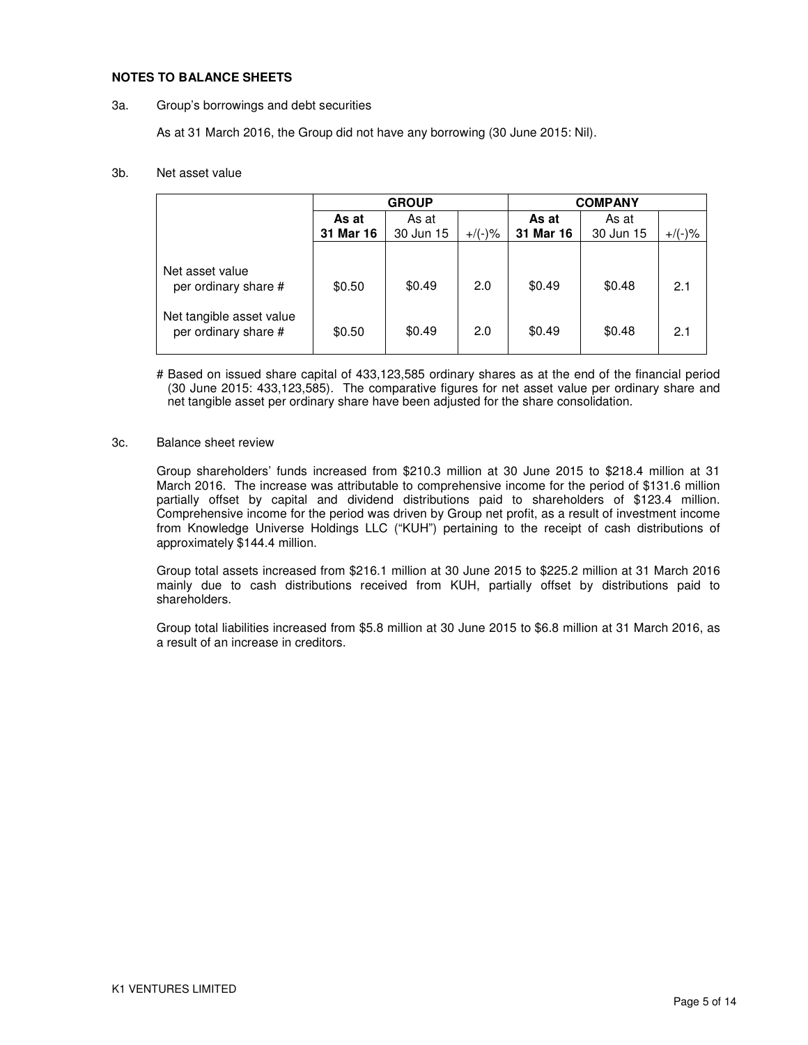### **NOTES TO BALANCE SHEETS**

#### 3a. Group's borrowings and debt securities

As at 31 March 2016, the Group did not have any borrowing (30 June 2015: Nil).

### 3b. Net asset value

|                                                  | <b>GROUP</b> |           |           | <b>COMPANY</b> |           |           |
|--------------------------------------------------|--------------|-----------|-----------|----------------|-----------|-----------|
|                                                  | As at        | As at     |           | As at          | As at     |           |
|                                                  | 31 Mar 16    | 30 Jun 15 | $+/(-)$ % | 31 Mar 16      | 30 Jun 15 | $+$ /(-)% |
|                                                  |              |           |           |                |           |           |
| Net asset value<br>per ordinary share #          | \$0.50       | \$0.49    | 2.0       | \$0.49         | \$0.48    | 2.1       |
| Net tangible asset value<br>per ordinary share # | \$0.50       | \$0.49    | 2.0       | \$0.49         | \$0.48    | 2.1       |

# Based on issued share capital of 433,123,585 ordinary shares as at the end of the financial period (30 June 2015: 433,123,585). The comparative figures for net asset value per ordinary share and net tangible asset per ordinary share have been adjusted for the share consolidation.

### 3c. Balance sheet review

Group shareholders' funds increased from \$210.3 million at 30 June 2015 to \$218.4 million at 31 March 2016. The increase was attributable to comprehensive income for the period of \$131.6 million partially offset by capital and dividend distributions paid to shareholders of \$123.4 million. Comprehensive income for the period was driven by Group net profit, as a result of investment income from Knowledge Universe Holdings LLC ("KUH") pertaining to the receipt of cash distributions of approximately \$144.4 million.

Group total assets increased from \$216.1 million at 30 June 2015 to \$225.2 million at 31 March 2016 mainly due to cash distributions received from KUH, partially offset by distributions paid to shareholders.

Group total liabilities increased from \$5.8 million at 30 June 2015 to \$6.8 million at 31 March 2016, as a result of an increase in creditors.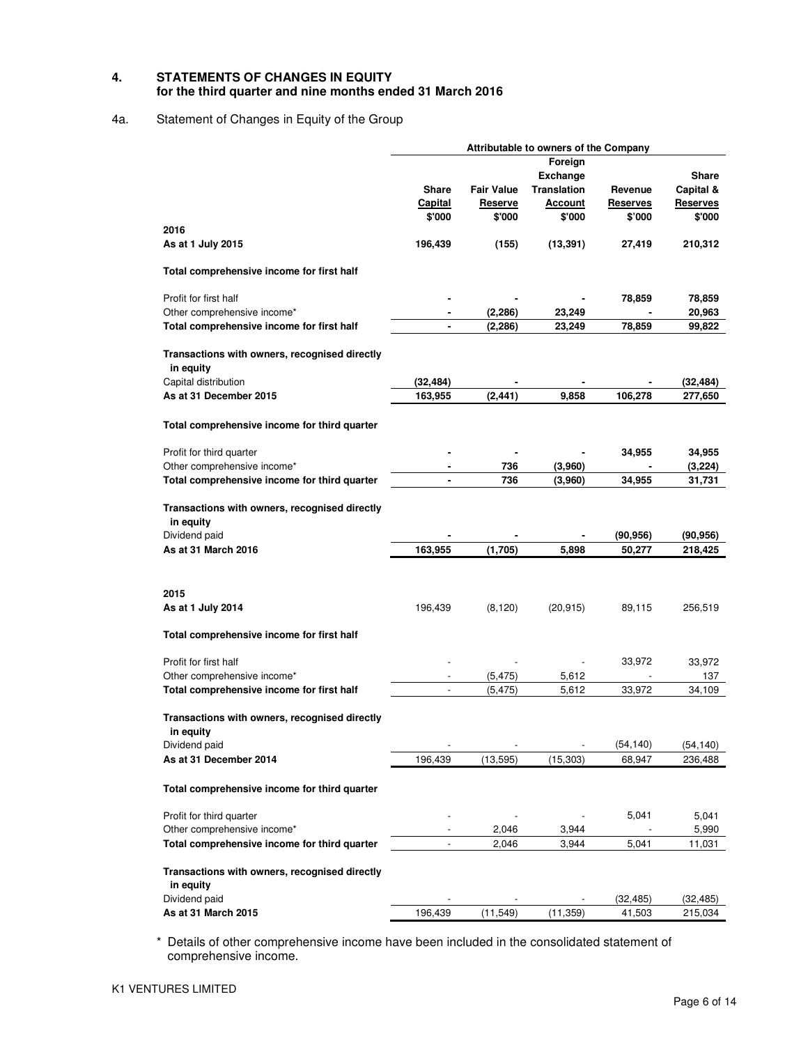### **4. STATEMENTS OF CHANGES IN EQUITY for the third quarter and nine months ended 31 March 2016**

## 4a. Statement of Changes in Equity of the Group

|                                                            | Attributable to owners of the Company |                   |                    |                 |                      |  |  |
|------------------------------------------------------------|---------------------------------------|-------------------|--------------------|-----------------|----------------------|--|--|
|                                                            |                                       |                   | Foreign            |                 |                      |  |  |
|                                                            |                                       |                   | <b>Exchange</b>    |                 | Share                |  |  |
|                                                            | Share                                 | <b>Fair Value</b> | <b>Translation</b> | Revenue         | Capital &            |  |  |
|                                                            | <b>Capital</b>                        | <b>Reserve</b>    | <u>Account</u>     | <b>Reserves</b> | <b>Reserves</b>      |  |  |
|                                                            | \$'000                                | \$'000            | \$'000             | \$'000          | \$'000               |  |  |
| 2016                                                       |                                       |                   |                    |                 |                      |  |  |
| As at 1 July 2015                                          | 196,439                               | (155)             | (13, 391)          | 27,419          | 210,312              |  |  |
| Total comprehensive income for first half                  |                                       |                   |                    |                 |                      |  |  |
| Profit for first half                                      |                                       |                   |                    | 78,859          | 78,859               |  |  |
| Other comprehensive income*                                |                                       | (2, 286)          | 23,249             |                 | 20,963               |  |  |
| Total comprehensive income for first half                  |                                       | (2, 286)          | 23,249             | 78,859          | 99,822               |  |  |
| Transactions with owners, recognised directly<br>in equity |                                       |                   |                    |                 |                      |  |  |
| Capital distribution                                       | (32, 484)                             |                   |                    |                 | (32, 484)            |  |  |
| As at 31 December 2015                                     | 163,955                               | (2, 441)          | 9,858              | 106,278         | 277,650              |  |  |
| Total comprehensive income for third quarter               |                                       |                   |                    |                 |                      |  |  |
| Profit for third quarter                                   |                                       |                   |                    |                 | 34,955               |  |  |
|                                                            |                                       |                   |                    | 34,955          |                      |  |  |
| Other comprehensive income*                                |                                       | 736               | (3,960)            |                 | (3, 224)             |  |  |
| Total comprehensive income for third quarter               |                                       | 736               | (3,960)            | 34,955          | 31,731               |  |  |
| Transactions with owners, recognised directly<br>in equity |                                       |                   |                    |                 |                      |  |  |
| Dividend paid                                              |                                       |                   |                    | (90, 956)       | (90, 956)            |  |  |
| As at 31 March 2016                                        | 163,955                               | (1,705)           | 5,898              | 50,277          | 218,425              |  |  |
|                                                            |                                       |                   |                    |                 |                      |  |  |
| 2015                                                       |                                       |                   |                    |                 |                      |  |  |
| As at 1 July 2014                                          | 196,439                               | (8, 120)          | (20, 915)          | 89,115          | 256,519              |  |  |
| Total comprehensive income for first half                  |                                       |                   |                    |                 |                      |  |  |
| Profit for first half                                      |                                       |                   |                    | 33,972          | 33,972               |  |  |
| Other comprehensive income*                                |                                       | (5, 475)          | 5,612              |                 | 137                  |  |  |
| Total comprehensive income for first half                  |                                       | (5, 475)          | 5,612              | 33,972          | 34,109               |  |  |
| Transactions with owners, recognised directly<br>in equity |                                       |                   |                    |                 |                      |  |  |
| Dividend paid                                              |                                       |                   |                    | (54, 140)       |                      |  |  |
| As at 31 December 2014                                     | 196,439                               | (13, 595)         | (15, 303)          | 68,947          | (54, 140)<br>236,488 |  |  |
|                                                            |                                       |                   |                    |                 |                      |  |  |
| Total comprehensive income for third quarter               |                                       |                   |                    |                 |                      |  |  |
| Profit for third quarter                                   |                                       |                   |                    | 5,041           | 5,041                |  |  |
| Other comprehensive income*                                |                                       | 2,046             | 3,944              |                 | 5,990                |  |  |
| Total comprehensive income for third quarter               |                                       | 2,046             | 3,944              | 5,041           | 11,031               |  |  |
| Transactions with owners, recognised directly<br>in equity |                                       |                   |                    |                 |                      |  |  |
| Dividend paid                                              |                                       |                   |                    | (32, 485)       | (32, 485)            |  |  |
| As at 31 March 2015                                        | 196,439                               | (11, 549)         | (11, 359)          | 41,503          | 215,034              |  |  |
|                                                            |                                       |                   |                    |                 |                      |  |  |

\* Details of other comprehensive income have been included in the consolidated statement of comprehensive income.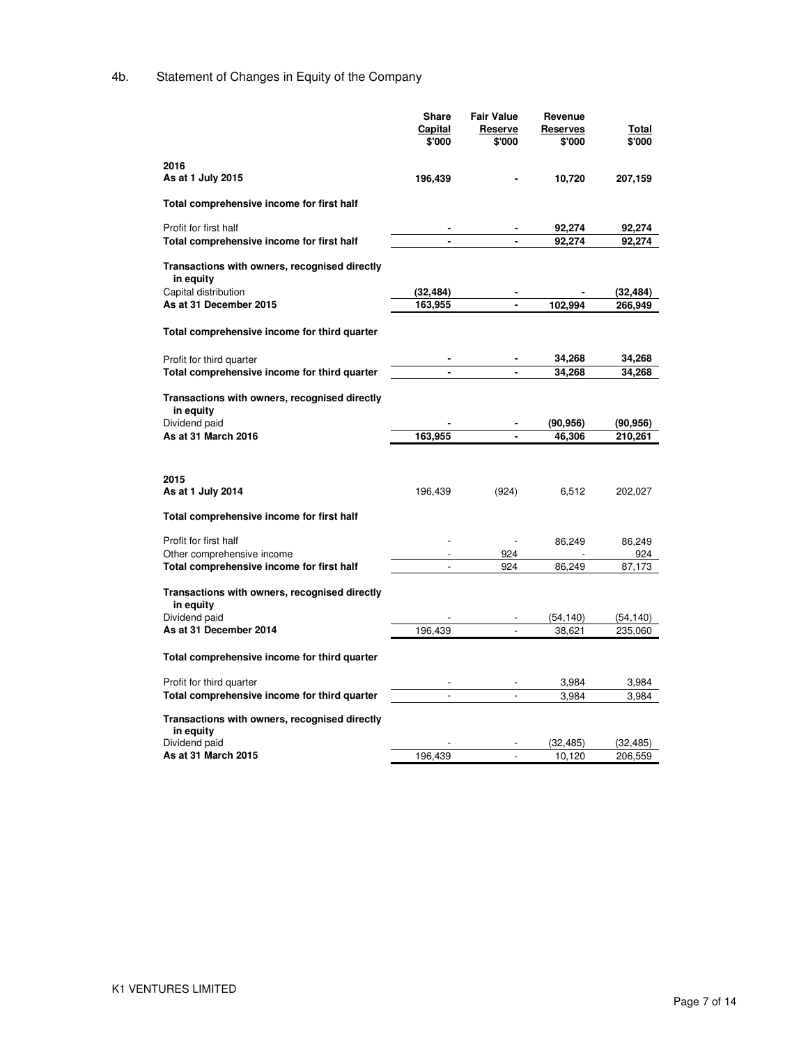# 4b. Statement of Changes in Equity of the Company

|                                                            | Share          | <b>Fair Value</b> | Revenue          |                  |
|------------------------------------------------------------|----------------|-------------------|------------------|------------------|
|                                                            | Capital        | Reserve           | <b>Reserves</b>  | Total            |
|                                                            | \$'000         | \$'000            | \$'000           | \$'000           |
|                                                            |                |                   |                  |                  |
| 2016                                                       |                |                   |                  |                  |
| As at 1 July 2015                                          | 196,439        |                   | 10,720           | 207,159          |
| Total comprehensive income for first half                  |                |                   |                  |                  |
| Profit for first half                                      |                |                   |                  |                  |
| Total comprehensive income for first half                  |                |                   | 92,274<br>92,274 | 92,274<br>92,274 |
|                                                            |                |                   |                  |                  |
| Transactions with owners, recognised directly<br>in equity |                |                   |                  |                  |
| Capital distribution                                       | (32, 484)      | $\blacksquare$    |                  | (32, 484)        |
| As at 31 December 2015                                     | 163,955        |                   | 102,994          | 266,949          |
| Total comprehensive income for third quarter               |                |                   |                  |                  |
| Profit for third quarter                                   |                | $\blacksquare$    | 34,268           | 34,268           |
| Total comprehensive income for third quarter               |                |                   | 34,268           | 34,268           |
|                                                            |                |                   |                  |                  |
| Transactions with owners, recognised directly<br>in equity |                |                   |                  |                  |
| Dividend paid                                              |                |                   | (90, 956)        | (90, 956)        |
| As at 31 March 2016                                        | 163,955        |                   | 46,306           | 210,261          |
| 2015<br>As at 1 July 2014                                  | 196,439        | (924)             | 6,512            | 202,027          |
| Total comprehensive income for first half                  |                |                   |                  |                  |
| Profit for first half                                      |                |                   | 86,249           | 86,249           |
| Other comprehensive income                                 |                | 924               |                  | 924              |
| Total comprehensive income for first half                  |                | 924               | 86,249           | 87,173           |
| Transactions with owners, recognised directly<br>in equity |                |                   |                  |                  |
| Dividend paid                                              |                |                   | (54, 140)        | (54, 140)        |
| As at 31 December 2014                                     | 196,439        |                   | 38,621           | 235,060          |
| Total comprehensive income for third quarter               |                |                   |                  |                  |
| Profit for third quarter                                   |                |                   | 3,984            | 3,984            |
| Total comprehensive income for third quarter               | $\overline{a}$ | $\frac{1}{2}$     | 3,984            | 3,984            |
| Transactions with owners, recognised directly<br>in equity |                |                   |                  |                  |
| Dividend paid                                              |                |                   | (32, 485)        | (32,485)         |
| As at 31 March 2015                                        | 196,439        |                   | 10,120           | 206,559          |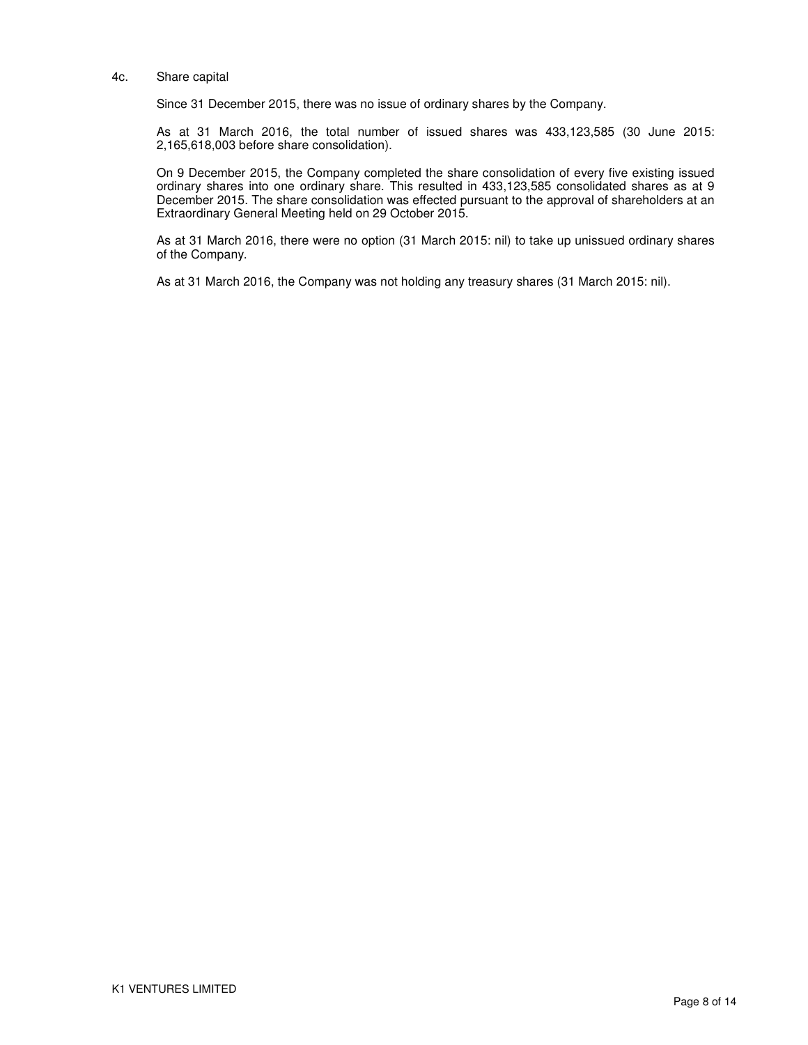#### 4c. Share capital

Since 31 December 2015, there was no issue of ordinary shares by the Company.

As at 31 March 2016, the total number of issued shares was 433,123,585 (30 June 2015: 2,165,618,003 before share consolidation).

On 9 December 2015, the Company completed the share consolidation of every five existing issued ordinary shares into one ordinary share. This resulted in 433,123,585 consolidated shares as at 9 December 2015. The share consolidation was effected pursuant to the approval of shareholders at an Extraordinary General Meeting held on 29 October 2015.

As at 31 March 2016, there were no option (31 March 2015: nil) to take up unissued ordinary shares of the Company.

As at 31 March 2016, the Company was not holding any treasury shares (31 March 2015: nil).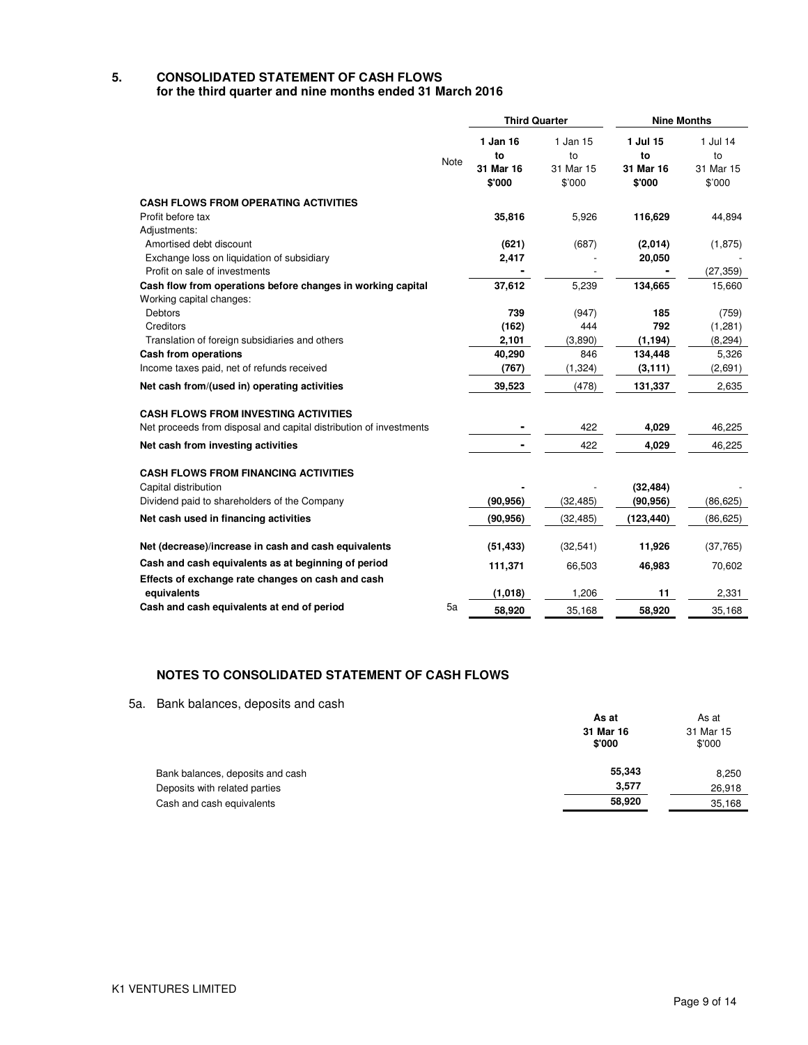### **5. CONSOLIDATED STATEMENT OF CASH FLOWS for the third quarter and nine months ended 31 March 2016**

|                                                                                         |      | <b>Third Quarter</b> |                     | <b>Nine Months</b>  |                     |
|-----------------------------------------------------------------------------------------|------|----------------------|---------------------|---------------------|---------------------|
|                                                                                         | Note | 1 Jan 16<br>to       | 1 Jan 15<br>to      | 1 Jul 15<br>to      | 1 Jul 14<br>to      |
|                                                                                         |      | 31 Mar 16<br>\$'000  | 31 Mar 15<br>\$'000 | 31 Mar 16<br>\$'000 | 31 Mar 15<br>\$'000 |
| <b>CASH FLOWS FROM OPERATING ACTIVITIES</b>                                             |      |                      |                     |                     |                     |
| Profit before tax                                                                       |      | 35,816               | 5,926               | 116,629             | 44,894              |
| Adjustments:                                                                            |      |                      |                     |                     |                     |
| Amortised debt discount                                                                 |      | (621)                | (687)               | (2,014)             | (1, 875)            |
| Exchange loss on liquidation of subsidiary                                              |      | 2,417                |                     | 20,050              |                     |
| Profit on sale of investments                                                           |      |                      |                     |                     | (27, 359)           |
| Cash flow from operations before changes in working capital<br>Working capital changes: |      | 37,612               | 5,239               | 134,665             | 15,660              |
| <b>Debtors</b>                                                                          |      | 739                  | (947)               | 185                 | (759)               |
| Creditors                                                                               |      | (162)                | 444                 | 792                 | (1,281)             |
| Translation of foreign subsidiaries and others                                          |      | 2,101                | (3,890)             | (1, 194)            | (8, 294)            |
| <b>Cash from operations</b>                                                             |      | 40,290               | 846                 | 134,448             | 5,326               |
| Income taxes paid, net of refunds received                                              |      | (767)                | (1, 324)            | (3, 111)            | (2,691)             |
| Net cash from/(used in) operating activities                                            |      | 39,523               | (478)               | 131,337             | 2,635               |
| <b>CASH FLOWS FROM INVESTING ACTIVITIES</b>                                             |      |                      |                     |                     |                     |
| Net proceeds from disposal and capital distribution of investments                      |      |                      | 422                 | 4,029               | 46,225              |
| Net cash from investing activities                                                      |      |                      | 422                 | 4,029               | 46,225              |
| <b>CASH FLOWS FROM FINANCING ACTIVITIES</b>                                             |      |                      |                     |                     |                     |
| Capital distribution                                                                    |      |                      |                     | (32, 484)           |                     |
| Dividend paid to shareholders of the Company                                            |      | (90, 956)            | (32, 485)           | (90, 956)           | (86, 625)           |
| Net cash used in financing activities                                                   |      | (90, 956)            | (32, 485)           | (123, 440)          | (86, 625)           |
| Net (decrease)/increase in cash and cash equivalents                                    |      | (51, 433)            | (32, 541)           | 11,926              | (37,765)            |
| Cash and cash equivalents as at beginning of period                                     |      | 111,371              | 66,503              | 46,983              | 70,602              |
| Effects of exchange rate changes on cash and cash                                       |      |                      |                     |                     |                     |
| equivalents                                                                             |      | (1,018)              | 1,206               | 11                  | 2,331               |
| Cash and cash equivalents at end of period                                              | 5a   | 58,920               | 35,168              | 58,920              | 35,168              |

# **NOTES TO CONSOLIDATED STATEMENT OF CASH FLOWS**

5a. Bank balances, deposits and cash

| <u>Barn baranced, appoint and capit</u> |                     |                     |
|-----------------------------------------|---------------------|---------------------|
|                                         | As at               | As at               |
|                                         | 31 Mar 16<br>\$'000 | 31 Mar 15<br>\$'000 |
| Bank balances, deposits and cash        | 55,343              | 8,250               |
| Deposits with related parties           | 3,577               | 26,918              |
| Cash and cash equivalents               | 58,920              | 35,168              |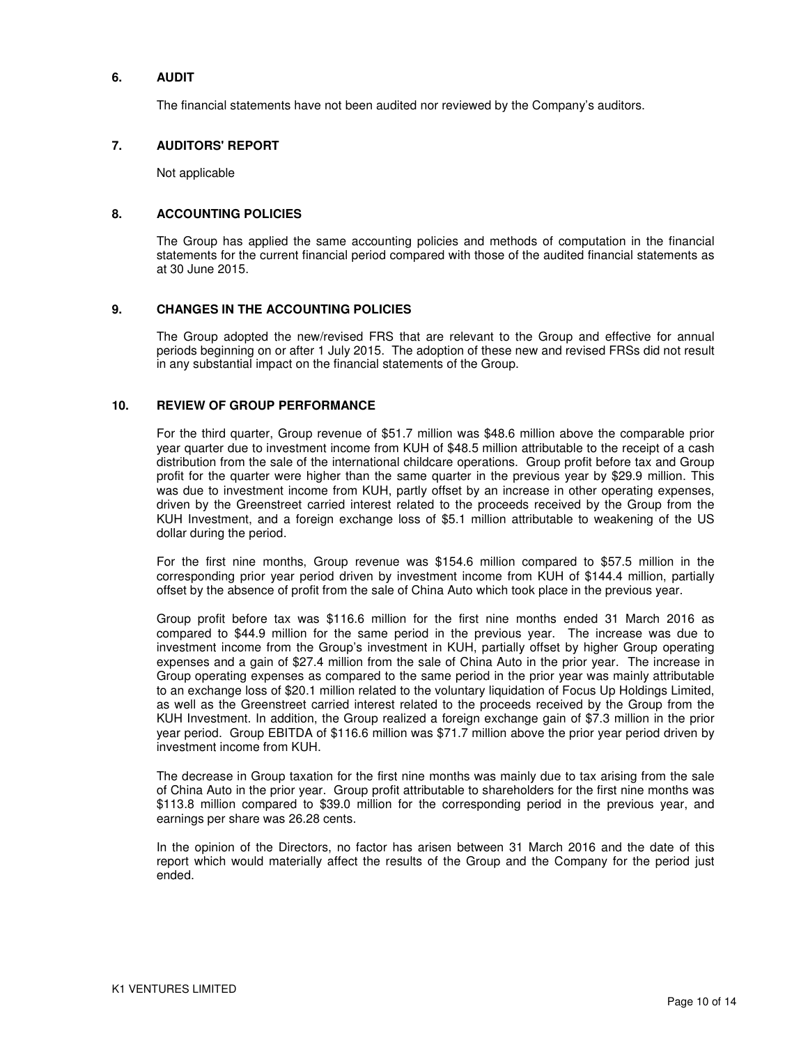### **6. AUDIT**

The financial statements have not been audited nor reviewed by the Company's auditors.

### **7. AUDITORS' REPORT**

Not applicable

### **8. ACCOUNTING POLICIES**

The Group has applied the same accounting policies and methods of computation in the financial statements for the current financial period compared with those of the audited financial statements as at 30 June 2015.

### **9. CHANGES IN THE ACCOUNTING POLICIES**

The Group adopted the new/revised FRS that are relevant to the Group and effective for annual periods beginning on or after 1 July 2015. The adoption of these new and revised FRSs did not result in any substantial impact on the financial statements of the Group.

### **10. REVIEW OF GROUP PERFORMANCE**

For the third quarter, Group revenue of \$51.7 million was \$48.6 million above the comparable prior year quarter due to investment income from KUH of \$48.5 million attributable to the receipt of a cash distribution from the sale of the international childcare operations. Group profit before tax and Group profit for the quarter were higher than the same quarter in the previous year by \$29.9 million. This was due to investment income from KUH, partly offset by an increase in other operating expenses, driven by the Greenstreet carried interest related to the proceeds received by the Group from the KUH Investment, and a foreign exchange loss of \$5.1 million attributable to weakening of the US dollar during the period.

For the first nine months, Group revenue was \$154.6 million compared to \$57.5 million in the corresponding prior year period driven by investment income from KUH of \$144.4 million, partially offset by the absence of profit from the sale of China Auto which took place in the previous year.

Group profit before tax was \$116.6 million for the first nine months ended 31 March 2016 as compared to \$44.9 million for the same period in the previous year. The increase was due to investment income from the Group's investment in KUH, partially offset by higher Group operating expenses and a gain of \$27.4 million from the sale of China Auto in the prior year. The increase in Group operating expenses as compared to the same period in the prior year was mainly attributable to an exchange loss of \$20.1 million related to the voluntary liquidation of Focus Up Holdings Limited, as well as the Greenstreet carried interest related to the proceeds received by the Group from the KUH Investment. In addition, the Group realized a foreign exchange gain of \$7.3 million in the prior year period. Group EBITDA of \$116.6 million was \$71.7 million above the prior year period driven by investment income from KUH.

The decrease in Group taxation for the first nine months was mainly due to tax arising from the sale of China Auto in the prior year. Group profit attributable to shareholders for the first nine months was \$113.8 million compared to \$39.0 million for the corresponding period in the previous year, and earnings per share was 26.28 cents.

In the opinion of the Directors, no factor has arisen between 31 March 2016 and the date of this report which would materially affect the results of the Group and the Company for the period just ended.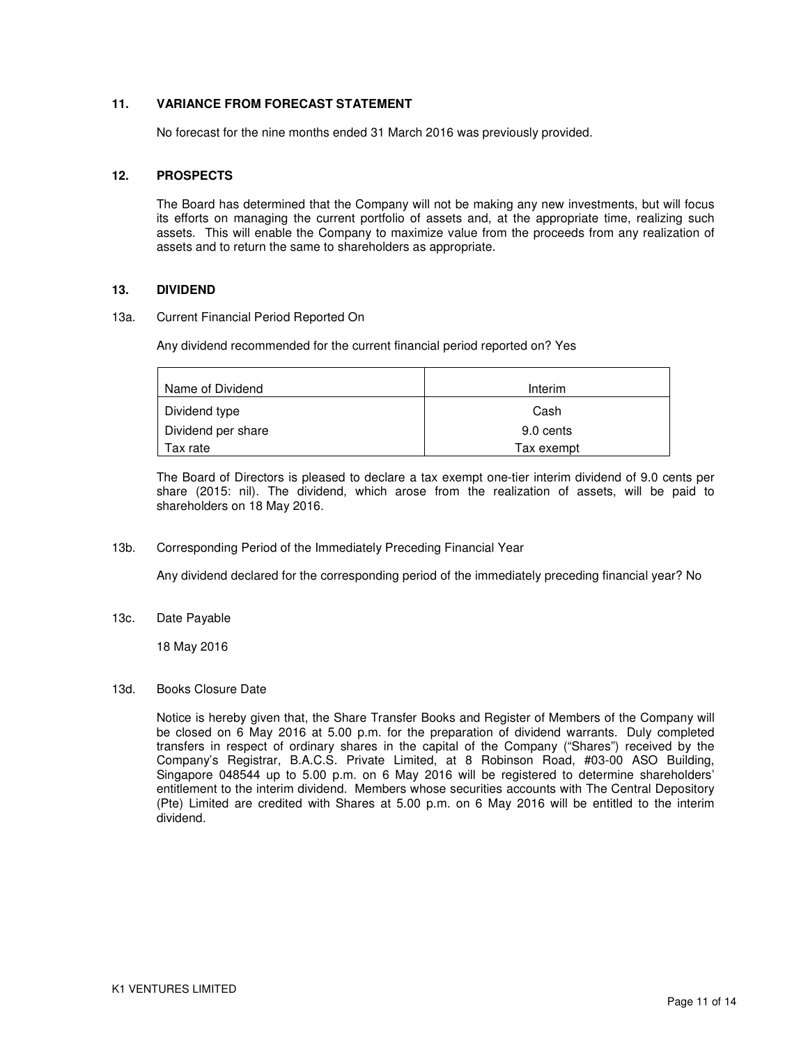## **11. VARIANCE FROM FORECAST STATEMENT**

No forecast for the nine months ended 31 March 2016 was previously provided.

### **12. PROSPECTS**

The Board has determined that the Company will not be making any new investments, but will focus its efforts on managing the current portfolio of assets and, at the appropriate time, realizing such assets. This will enable the Company to maximize value from the proceeds from any realization of assets and to return the same to shareholders as appropriate.

### **13. DIVIDEND**

### 13a. Current Financial Period Reported On

Any dividend recommended for the current financial period reported on? Yes

| Name of Dividend   | Interim    |
|--------------------|------------|
| Dividend type      | Cash       |
| Dividend per share | 9.0 cents  |
| Tax rate           | Tax exempt |

The Board of Directors is pleased to declare a tax exempt one-tier interim dividend of 9.0 cents per share (2015: nil). The dividend, which arose from the realization of assets, will be paid to shareholders on 18 May 2016.

13b. Corresponding Period of the Immediately Preceding Financial Year

Any dividend declared for the corresponding period of the immediately preceding financial year? No

13c. Date Payable

18 May 2016

13d. Books Closure Date

Notice is hereby given that, the Share Transfer Books and Register of Members of the Company will be closed on 6 May 2016 at 5.00 p.m. for the preparation of dividend warrants. Duly completed transfers in respect of ordinary shares in the capital of the Company ("Shares") received by the Company's Registrar, B.A.C.S. Private Limited, at 8 Robinson Road, #03-00 ASO Building, Singapore 048544 up to 5.00 p.m. on 6 May 2016 will be registered to determine shareholders' entitlement to the interim dividend. Members whose securities accounts with The Central Depository (Pte) Limited are credited with Shares at 5.00 p.m. on 6 May 2016 will be entitled to the interim dividend.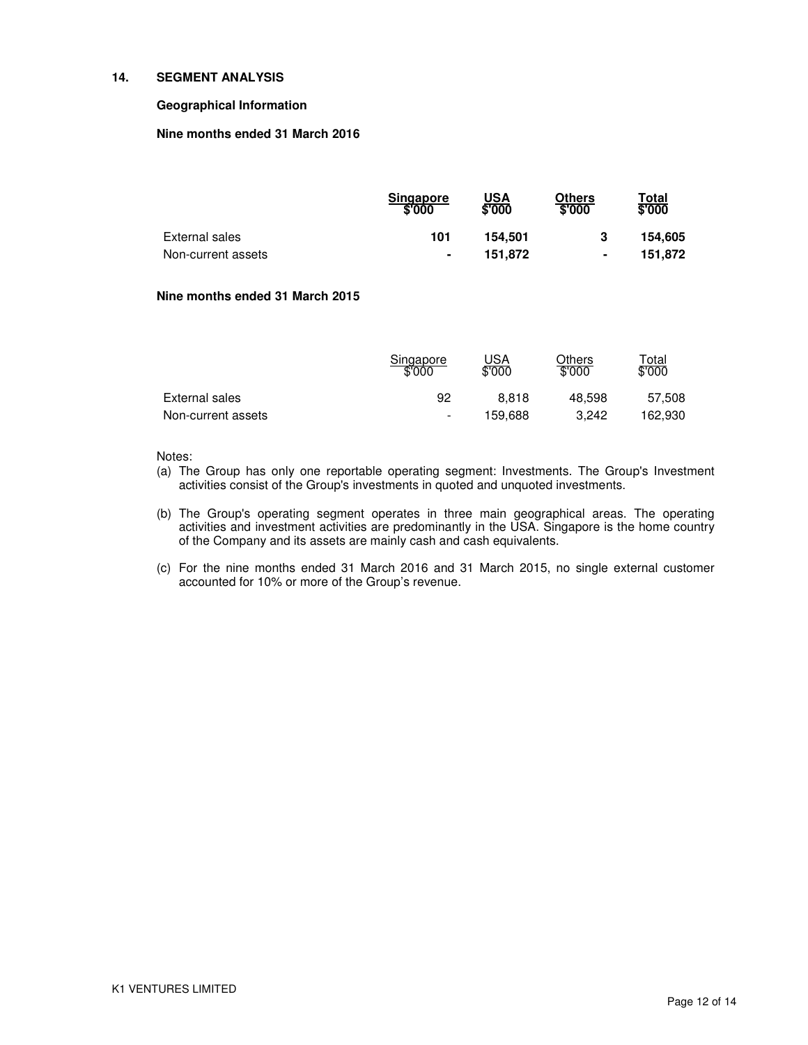### **14. SEGMENT ANALYSIS**

### **Geographical Information**

### **Nine months ended 31 March 2016**

|                    | <b>Singapore</b><br>\$'000 | $USA\sqrt[6]{000}$ | Others<br>\$'000 | Total<br>\$'000 |
|--------------------|----------------------------|--------------------|------------------|-----------------|
| External sales     | 101                        | 154.501            |                  | 154.605         |
| Non-current assets | ٠                          | 151.872            | ٠                | 151.872         |

### **Nine months ended 31 March 2015**

|                    | Singapore<br>\$'000 | JSA<br>\$'000 | Others<br>\$'000 | $\tau$ otal<br>\$'000 |
|--------------------|---------------------|---------------|------------------|-----------------------|
| External sales     | 92                  | 8.818         | 48.598           | 57.508                |
| Non-current assets | $\sim$              | 159.688       | 3.242            | 162.930               |

### Notes:

- (a) The Group has only one reportable operating segment: Investments. The Group's Investment activities consist of the Group's investments in quoted and unquoted investments.
- (b) The Group's operating segment operates in three main geographical areas. The operating activities and investment activities are predominantly in the USA. Singapore is the home country of the Company and its assets are mainly cash and cash equivalents.
- (c) For the nine months ended 31 March 2016 and 31 March 2015, no single external customer accounted for 10% or more of the Group's revenue.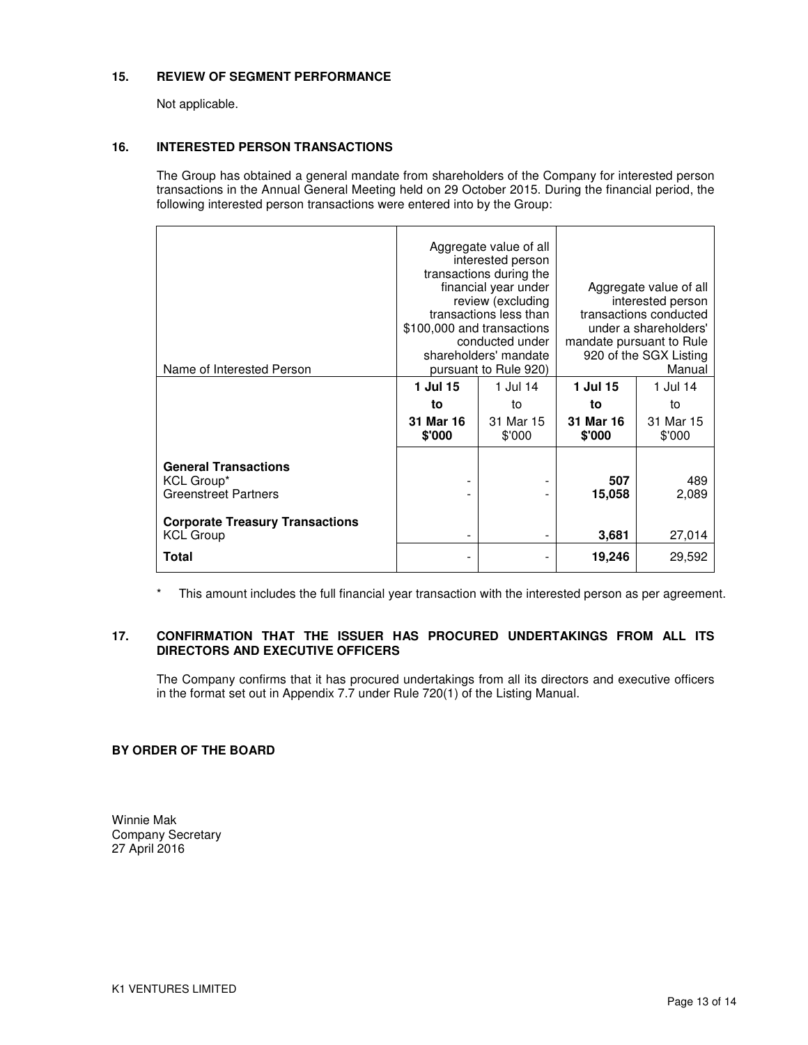### **15. REVIEW OF SEGMENT PERFORMANCE**

Not applicable.

### **16. INTERESTED PERSON TRANSACTIONS**

The Group has obtained a general mandate from shareholders of the Company for interested person transactions in the Annual General Meeting held on 29 October 2015. During the financial period, the following interested person transactions were entered into by the Group:

| Name of Interested Person                                                | Aggregate value of all<br>interested person<br>transactions during the<br>financial year under<br>review (excluding<br>transactions less than<br>\$100,000 and transactions<br>conducted under<br>shareholders' mandate<br>pursuant to Rule 920) |                          | Aggregate value of all<br>interested person<br>transactions conducted<br>under a shareholders'<br>mandate pursuant to Rule<br>920 of the SGX Listing<br>Manual |                     |
|--------------------------------------------------------------------------|--------------------------------------------------------------------------------------------------------------------------------------------------------------------------------------------------------------------------------------------------|--------------------------|----------------------------------------------------------------------------------------------------------------------------------------------------------------|---------------------|
|                                                                          | 1 Jul 15                                                                                                                                                                                                                                         | 1 Jul 14                 | 1 Jul 15                                                                                                                                                       | 1 Jul 14            |
|                                                                          | to                                                                                                                                                                                                                                               | to                       | to                                                                                                                                                             | to                  |
|                                                                          | 31 Mar 16<br>\$'000                                                                                                                                                                                                                              | 31 Mar 15<br>\$'000      | 31 Mar 16<br>\$'000                                                                                                                                            | 31 Mar 15<br>\$'000 |
| <b>General Transactions</b><br>KCL Group*<br><b>Greenstreet Partners</b> |                                                                                                                                                                                                                                                  | -                        | 507<br>15,058                                                                                                                                                  | 489<br>2,089        |
| <b>Corporate Treasury Transactions</b><br><b>KCL Group</b>               |                                                                                                                                                                                                                                                  |                          | 3.681                                                                                                                                                          | 27,014              |
| Total                                                                    |                                                                                                                                                                                                                                                  | $\overline{\phantom{0}}$ | 19,246                                                                                                                                                         | 29,592              |

\* This amount includes the full financial year transaction with the interested person as per agreement.

## **17. CONFIRMATION THAT THE ISSUER HAS PROCURED UNDERTAKINGS FROM ALL ITS DIRECTORS AND EXECUTIVE OFFICERS**

The Company confirms that it has procured undertakings from all its directors and executive officers in the format set out in Appendix 7.7 under Rule 720(1) of the Listing Manual.

## **BY ORDER OF THE BOARD**

Winnie Mak Company Secretary 27 April 2016